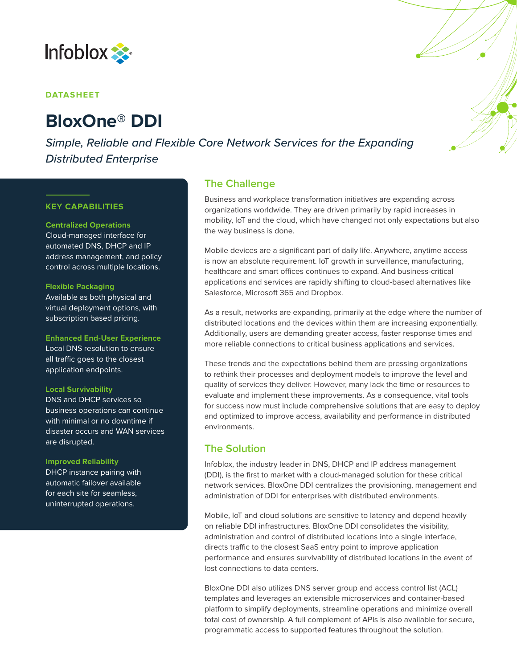

### **DATASHEET**

# **BloxOne® DDI**

*Simple, Reliable and Flexible Core Network Services for the Expanding Distributed Enterprise*

### **KEY CAPABILITIES**

#### **Centralized Operations**

Cloud-managed interface for automated DNS, DHCP and IP address management, and policy control across multiple locations.

#### **Flexible Packaging**

Available as both physical and virtual deployment options, with subscription based pricing.

**Enhanced End-User Experience** Local DNS resolution to ensure all traffic goes to the closest application endpoints.

#### **Local Survivability**

DNS and DHCP services so business operations can continue with minimal or no downtime if disaster occurs and WAN services are disrupted.

#### **Improved Reliability**

DHCP instance pairing with automatic failover available for each site for seamless, uninterrupted operations.

# **The Challenge**

Business and workplace transformation initiatives are expanding across organizations worldwide. They are driven primarily by rapid increases in mobility, IoT and the cloud, which have changed not only expectations but also the way business is done.

Mobile devices are a significant part of daily life. Anywhere, anytime access is now an absolute requirement. IoT growth in surveillance, manufacturing, healthcare and smart offices continues to expand. And business-critical applications and services are rapidly shifting to cloud-based alternatives like Salesforce, Microsoft 365 and Dropbox.

As a result, networks are expanding, primarily at the edge where the number of distributed locations and the devices within them are increasing exponentially. Additionally, users are demanding greater access, faster response times and more reliable connections to critical business applications and services.

These trends and the expectations behind them are pressing organizations to rethink their processes and deployment models to improve the level and quality of services they deliver. However, many lack the time or resources to evaluate and implement these improvements. As a consequence, vital tools for success now must include comprehensive solutions that are easy to deploy and optimized to improve access, availability and performance in distributed environments.

# **The Solution**

Infoblox, the industry leader in DNS, DHCP and IP address management (DDI), is the first to market with a cloud-managed solution for these critical network services. BloxOne DDI centralizes the provisioning, management and administration of DDI for enterprises with distributed environments.

Mobile, IoT and cloud solutions are sensitive to latency and depend heavily on reliable DDI infrastructures. BloxOne DDI consolidates the visibility, administration and control of distributed locations into a single interface, directs traffic to the closest SaaS entry point to improve application performance and ensures survivability of distributed locations in the event of lost connections to data centers.

BloxOne DDI also utilizes DNS server group and access control list (ACL) templates and leverages an extensible microservices and container-based platform to simplify deployments, streamline operations and minimize overall total cost of ownership. A full complement of APIs is also available for secure, programmatic access to supported features throughout the solution.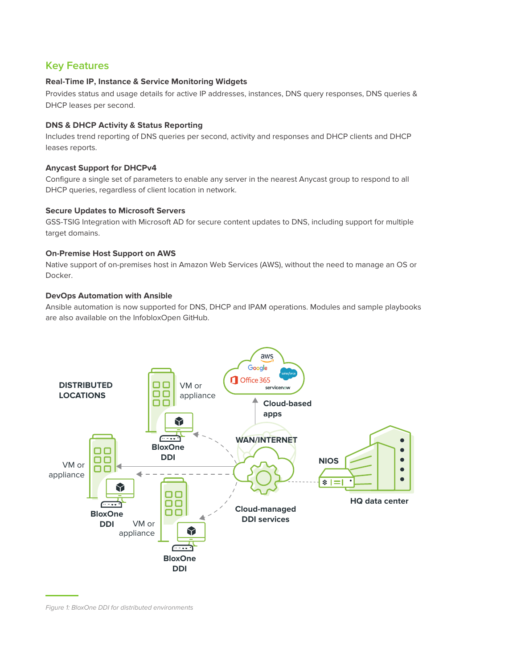# **Key Features**

# **Real-Time IP, Instance & Service Monitoring Widgets**

Provides status and usage details for active IP addresses, instances, DNS query responses, DNS queries & DHCP leases per second.

# **DNS & DHCP Activity & Status Reporting**

Includes trend reporting of DNS queries per second, activity and responses and DHCP clients and DHCP leases reports.

# **Anycast Support for DHCPv4**

Configure a single set of parameters to enable any server in the nearest Anycast group to respond to all DHCP queries, regardless of client location in network.

# **Secure Updates to Microsoft Servers**

GSS-TSIG Integration with Microsoft AD for secure content updates to DNS, including support for multiple target domains.

# **On-Premise Host Support on AWS**

Native support of on-premises host in Amazon Web Services (AWS), without the need to manage an OS or Docker.

# **DevOps Automation with Ansible**

Ansible automation is now supported for DNS, DHCP and IPAM operations. Modules and sample playbooks are also available on the InfobloxOpen GitHub.



*Figure 1: BloxOne DDI for distributed environments*